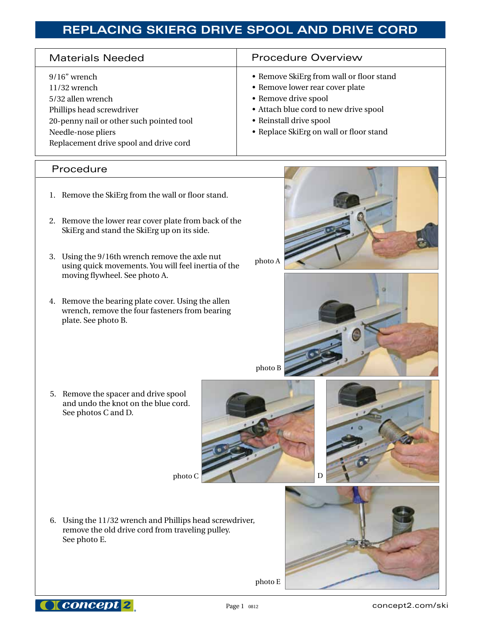# **REPLACING SKIERG DRIVE SPOOL AND DRIVE CORD**

| <b>Materials Needed</b>                                                                                                                                                                         | <b>Procedure Overview</b>                                                                                                                                                                                          |
|-------------------------------------------------------------------------------------------------------------------------------------------------------------------------------------------------|--------------------------------------------------------------------------------------------------------------------------------------------------------------------------------------------------------------------|
| $9/16$ " wrench<br>$11/32$ wrench<br>5/32 allen wrench<br>Phillips head screwdriver<br>20-penny nail or other such pointed tool<br>Needle-nose pliers<br>Replacement drive spool and drive cord | • Remove SkiErg from wall or floor stand<br>• Remove lower rear cover plate<br>• Remove drive spool<br>• Attach blue cord to new drive spool<br>• Reinstall drive spool<br>• Replace SkiErg on wall or floor stand |

### Procedure

٦

- 1. Remove the SkiErg from the wall or floor stand.
- 2. Remove the lower rear cover plate from back of the SkiErg and stand the SkiErg up on its side.
- 3. Using the 9/16th wrench remove the axle nut using quick movements. You will feel inertia of the moving flywheel. See photo A.
- 4. Remove the bearing plate cover. Using the allen wrench, remove the four fasteners from bearing plate. See photo B.



photo A



photo B

5. Remove the spacer and drive spool and undo the knot on the blue cord. See photos C and D.





6. Using the 11/32 wrench and Phillips head screwdriver, remove the old drive cord from traveling pulley. See photo E.





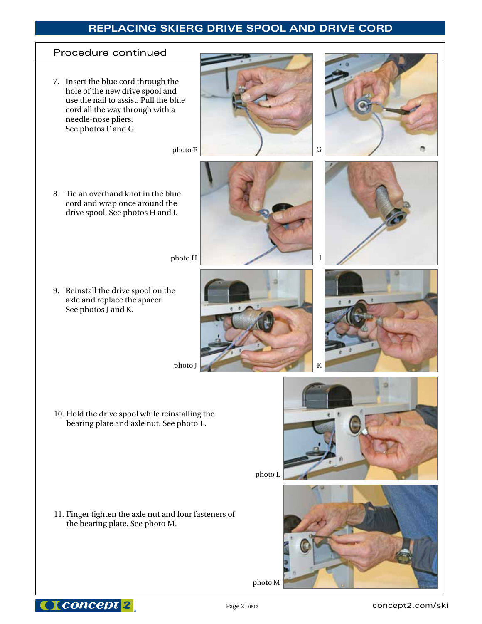## **REPLACING SKIERG DRIVE SPOOL AND DRIVE CORD**





I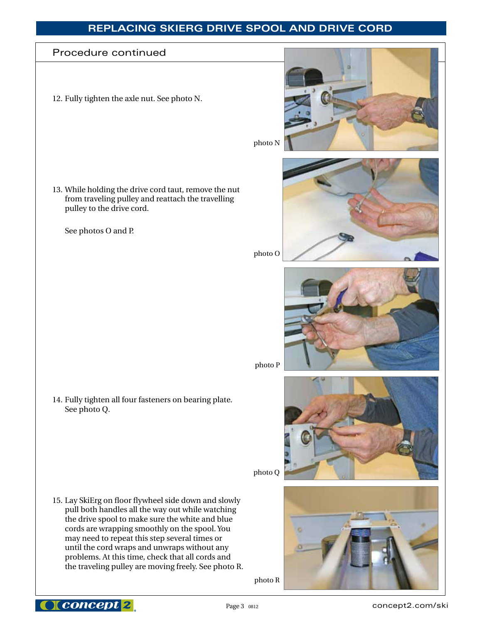## **REPLACING SKIERG DRIVE SPOOL AND DRIVE CORD**

### Procedure continued

I

12. Fully tighten the axle nut. See photo N.

13. While holding the drive cord taut, remove the nut from traveling pulley and reattach the travelling pulley to the drive cord.

 See photos O and P.

14. Fully tighten all four fasteners on bearing plate. See photo Q.

15. Lay SkiErg on floor flywheel side down and slowly pull both handles all the way out while watching the drive spool to make sure the white and blue cords are wrapping smoothly on the spool. You may need to repeat this step several times or until the cord wraps and unwraps without any problems. At this time, check that all cords and the traveling pulley are moving freely. See photo R.

photo R







photo P

photo O



photo Q